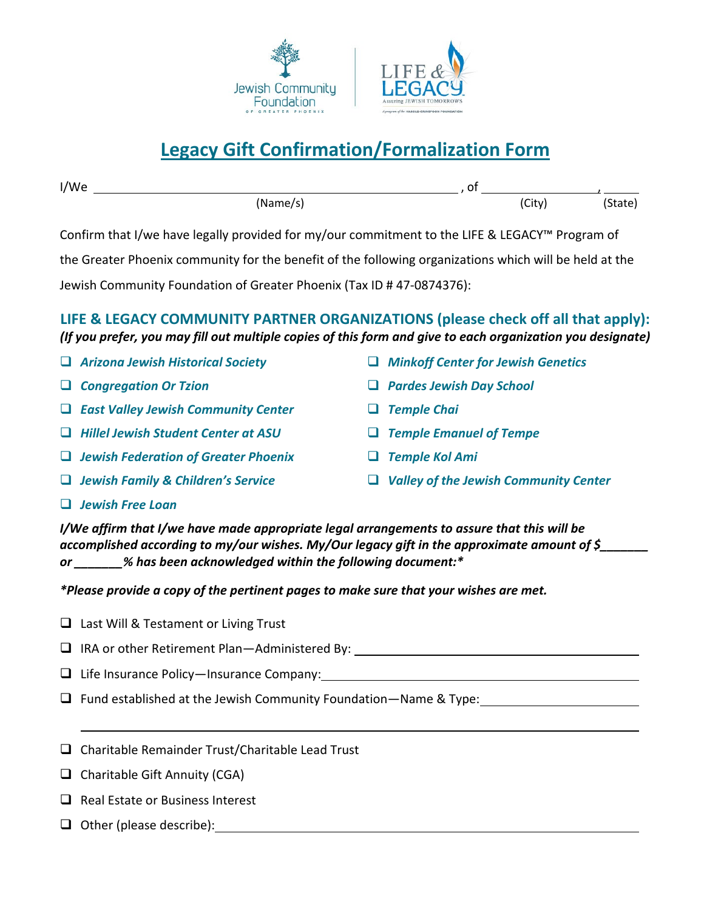

## **Legacy Gift Confirmation/Formalization Form**

| I/We |          | <u>U</u> |       |         |
|------|----------|----------|-------|---------|
|      | (Name/s) |          | City) | (State) |

Confirm that I/we have legally provided for my/our commitment to the LIFE & LEGACY™ Program of

the Greater Phoenix community for the benefit of the following organizations which will be held at the

Jewish Community Foundation of Greater Phoenix (Tax ID # 47-0874376):

**LIFE & LEGACY COMMUNITY PARTNER ORGANIZATIONS (please check off all that apply):**  *(If you prefer, you may fill out multiple copies of this form and give to each organization you designate)*

- *Arizona Jewish Historical Society*
- *Congregation Or Tzion*
- *East Valley Jewish Community Center*
- *Hillel Jewish Student Center at ASU*
- *Jewish Federation of Greater Phoenix*
- *Jewish Family & Children's Service*
- *Minkoff Center for Jewish Genetics*
- *Pardes Jewish Day School*
- *Temple Chai*
- *Temple Emanuel of Tempe*
- *Temple Kol Ami*
- *Valley of the Jewish Community Center*

*Jewish Free Loan*

*I/We affirm that I/we have made appropriate legal arrangements to assure that this will be accomplished according to my/our wishes. My/Our legacy gift in the approximate amount of \$\_\_\_\_\_\_\_ or \_\_\_\_\_\_\_% has been acknowledged within the following document:\**

*\*Please provide a copy of the pertinent pages to make sure that your wishes are met.*

- $\Box$  Last Will & Testament or Living Trust
- □ IRA or other Retirement Plan—Administered By: \_\_\_\_\_\_\_\_\_\_\_\_\_\_\_\_\_\_\_\_\_\_\_\_\_\_\_\_\_\_\_\_
- $\Box$  Life Insurance Policy—Insurance Company:
- $\Box$  Fund established at the Jewish Community Foundation—Name & Type:
- $\Box$  Charitable Remainder Trust/Charitable Lead Trust
- $\Box$  Charitable Gift Annuity (CGA)
- $\Box$  Real Estate or Business Interest
- Other (please describe):